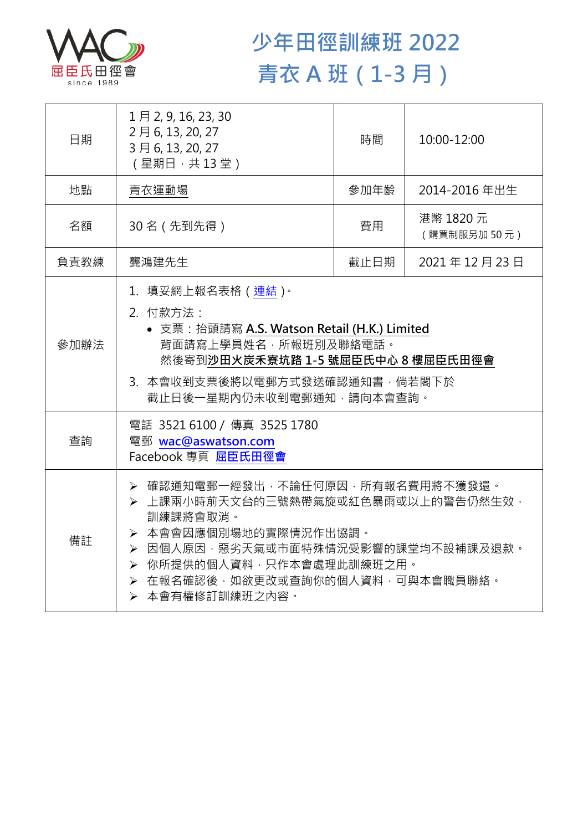

## **少年田徑訓練班 2022 青衣 A 班(1-3 月)**

| 日期   | $1 \nexists 2, 9, 16, 23, 30$<br>2月6, 13, 20, 27<br>3月6,13,20,27<br>(星期日,共13堂)                                                                                                                                                        | 時間   | 10:00-12:00              |  |
|------|---------------------------------------------------------------------------------------------------------------------------------------------------------------------------------------------------------------------------------------|------|--------------------------|--|
| 地點   | 青衣運動場                                                                                                                                                                                                                                 | 參加年齡 | 2014-2016年出生             |  |
| 名額   | 30名 (先到先得)                                                                                                                                                                                                                            | 費用   | 港幣 1820 元<br>(購買制服另加50元) |  |
| 負責教練 | 龔鴻建先生                                                                                                                                                                                                                                 | 截止日期 | 2021年12月23日              |  |
| 參加辦法 | 1.填妥網上報名表格(連結) <sup>。</sup><br>2. 付款方法:<br>• 支票: 抬頭請寫 A.S. Watson Retail (H.K.) Limited<br>背面請寫上學員姓名,所報班別及聯絡電話。<br>然後寄到沙田火炭禾寮坑路 1-5 號屈臣氏中心 8 樓屈臣氏田徑會<br>3. 本會收到支票後將以電郵方式發送確認通知書,倘若閣下於<br>截止日後一星期內仍未收到電郵通知,請向本會查詢。                     |      |                          |  |
| 查詢   | 電話 3521 6100 / 傳真 3525 1780<br>電郵 wac@aswatson.com<br>Facebook 專頁 屈臣氏田徑會                                                                                                                                                              |      |                          |  |
| 備註   | ▶ 確認通知電郵一經發出,不論任何原因,所有報名費用將不獲發還。<br>▶ 上課兩小時前天文台的三號熱帶氣旋或紅色暴雨或以上的警告仍然生效,<br>訓練課將會取消。<br>▶ 本會會因應個別場地的實際情況作出協調。<br>▶ 因個人原因,惡劣天氣或市面特殊情況受影響的課堂均不設補課及退款。<br>▶ 你所提供的個人資料,只作本會處理此訓練班之用。<br>> 在報名確認後,如欲更改或查詢你的個人資料,可與本會職員聯絡。<br>▶ 本會有權修訂訓練班之內容。 |      |                          |  |